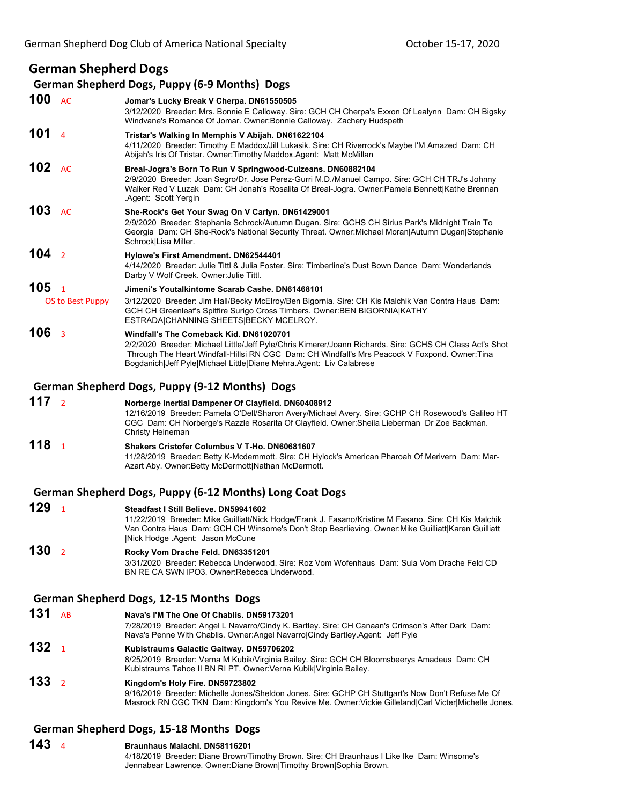# **German Shepherd Dogs**

#### **German Shepherd Dogs, Puppy (6‐9 Months) Dogs**

**100** AC **Jomar's Lucky Break V Cherpa. DN61550505** 3/12/2020 Breeder: Mrs. Bonnie E Calloway. Sire: GCH CH Cherpa's Exxon Of Lealynn Dam: CH Bigsky Windvane's Romance Of Jomar. Owner:Bonnie Calloway. Zachery Hudspeth **101** <sup>4</sup> **Tristar's Walking In Memphis V Abijah. DN61622104** 4/11/2020 Breeder: Timothy E Maddox/Jill Lukasik. Sire: CH Riverrock's Maybe I'M Amazed Dam: CH Abijah's Iris Of Tristar. Owner:Timothy Maddox.Agent: Matt McMillan **102** AC **Breal-Jogra's Born To Run V Springwood-Culzeans. DN60882104** 2/9/2020 Breeder: Joan Segro/Dr. Jose Perez-Gurri M.D./Manuel Campo. Sire: GCH CH TRJ's Johnny Walker Red V Luzak Dam: CH Jonah's Rosalita Of Breal-Jogra. Owner:Pamela Bennett|Kathe Brennan .Agent: Scott Yergin **103** AC **She-Rock's Get Your Swag On V Carlyn. DN61429001** 2/9/2020 Breeder: Stephanie Schrock/Autumn Dugan. Sire: GCHS CH Sirius Park's Midnight Train To Georgia Dam: CH She-Rock's National Security Threat. Owner:Michael Moran|Autumn Dugan|Stephanie Schrock|Lisa Miller. **104** <sup>2</sup> **Hylowe's First Amendment. DN62544401** 4/14/2020 Breeder: Julie Tittl & Julia Foster. Sire: Timberline's Dust Bown Dance Dam: Wonderlands Darby V Wolf Creek. Owner:Julie Tittl. **105** <sup>1</sup> **Jimeni's Youtalkintome Scarab Cashe. DN61468101** OS to Best Puppy 3/12/2020 Breeder: Jim Hall/Becky McElroy/Ben Bigornia. Sire: CH Kis Malchik Van Contra Haus Dam: GCH CH Greenleaf's Spitfire Surigo Cross Timbers. Owner:BEN BIGORNIA|KATHY ESTRADA|CHANNING SHEETS|BECKY MCELROY. **106** <sup>3</sup> **Windfall's The Comeback Kid. DN61020701** 2/2/2020 Breeder: Michael Little/Jeff Pyle/Chris Kimerer/Joann Richards. Sire: GCHS CH Class Act's Shot Through The Heart Windfall-Hillsi RN CGC Dam: CH Windfall's Mrs Peacock V Foxpond. Owner:Tina Bogdanich|Jeff Pyle|Michael Little|Diane Mehra.Agent: Liv Calabrese **German Shepherd Dogs, Puppy (9‐12 Months) Dogs 117** <sup>2</sup> **Norberge Inertial Dampener Of Clayfield. DN60408912** 12/16/2019 Breeder: Pamela O'Dell/Sharon Avery/Michael Avery. Sire: GCHP CH Rosewood's Galileo HT CGC Dam: CH Norberge's Razzle Rosarita Of Clayfield. Owner:Sheila Lieberman Dr Zoe Backman. Christy Heineman **118** <sup>1</sup> **Shakers Cristofer Columbus V T-Ho. DN60681607** 11/28/2019 Breeder: Betty K-Mcdemmott. Sire: CH Hylock's American Pharoah Of Merivern Dam: Mar-Azart Aby. Owner:Betty McDermott|Nathan McDermott. **German Shepherd Dogs, Puppy (6‐12 Months) Long Coat Dogs 129** <sup>1</sup> **Steadfast I Still Believe. DN59941602** 11/22/2019 Breeder: Mike Guilliatt/Nick Hodge/Frank J. Fasano/Kristine M Fasano. Sire: CH Kis Malchik Van Contra Haus Dam: GCH CH Winsome's Don't Stop Bearlieving. Owner:Mike Guilliatt|Karen Guilliatt |Nick Hodge .Agent: Jason McCune **130** <sup>2</sup> **Rocky Vom Drache Feld. DN63351201** 3/31/2020 Breeder: Rebecca Underwood. Sire: Roz Vom Wofenhaus Dam: Sula Vom Drache Feld CD BN RE CA SWN IPO3. Owner:Rebecca Underwood. **German Shepherd Dogs, 12‐15 Months Dogs 131** AB **Nava's I'M The One Of Chablis. DN59173201** 7/28/2019 Breeder: Angel L Navarro/Cindy K. Bartley. Sire: CH Canaan's Crimson's After Dark Dam: Nava's Penne With Chablis. Owner:Angel Navarro|Cindy Bartley.Agent: Jeff Pyle **132** <sup>1</sup> **Kubistraums Galactic Gaitway. DN59706202** 8/25/2019 Breeder: Verna M Kubik/Virginia Bailey. Sire: GCH CH Bloomsbeerys Amadeus Dam: CH Kubistraums Tahoe II BN RI PT. Owner:Verna Kubik|Virginia Bailey. **133** <sup>2</sup> **Kingdom's Holy Fire. DN59723802** 9/16/2019 Breeder: Michelle Jones/Sheldon Jones. Sire: GCHP CH Stuttgart's Now Don't Refuse Me Of Masrock RN CGC TKN Dam: Kingdom's You Revive Me. Owner:Vickie Gilleland|Carl Victer|Michelle Jones.

### **German Shepherd Dogs, 15‐18 Months Dogs**

**143** <sup>4</sup> **Braunhaus Malachi. DN58116201** 4/18/2019 Breeder: Diane Brown/Timothy Brown. Sire: CH Braunhaus I Like Ike Dam: Winsome's Jennabear Lawrence. Owner:Diane Brown|Timothy Brown|Sophia Brown.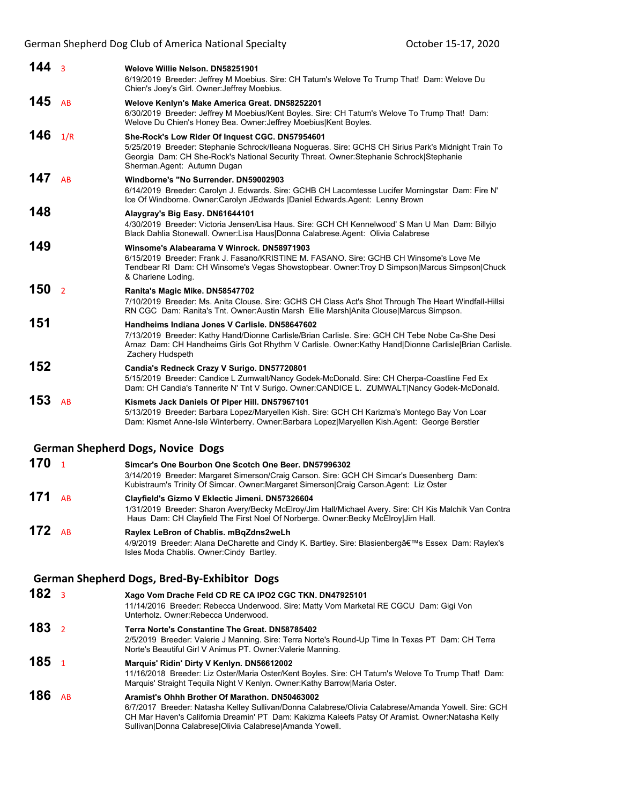| 144 <sub>3</sub> |                         | Welove Willie Nelson, DN58251901<br>6/19/2019 Breeder: Jeffrey M Moebius. Sire: CH Tatum's Welove To Trump That! Dam: Welove Du<br>Chien's Joey's Girl. Owner: Jeffrey Moebius.                                                                                                                                        |
|------------------|-------------------------|------------------------------------------------------------------------------------------------------------------------------------------------------------------------------------------------------------------------------------------------------------------------------------------------------------------------|
| 145              | AB                      | Welove Kenlyn's Make America Great. DN58252201<br>6/30/2019 Breeder: Jeffrey M Moebius/Kent Boyles. Sire: CH Tatum's Welove To Trump That! Dam:<br>Welove Du Chien's Honey Bea. Owner: Jeffrey Moebius Kent Boyles.                                                                                                    |
| 146              | 1/R                     | She-Rock's Low Rider Of Inquest CGC. DN57954601<br>5/25/2019 Breeder: Stephanie Schrock/Ileana Nogueras. Sire: GCHS CH Sirius Park's Midnight Train To<br>Georgia Dam: CH She-Rock's National Security Threat. Owner:Stephanie Schrock Stephanie<br>Sherman.Agent: Autumn Dugan                                        |
| 147              | AB                      | Windborne's "No Surrender, DN59002903<br>6/14/2019 Breeder: Carolyn J. Edwards. Sire: GCHB CH Lacomtesse Lucifer Morningstar Dam: Fire N'<br>Ice Of Windborne. Owner:Carolyn JEdwards  Daniel Edwards.Agent: Lenny Brown                                                                                               |
| 148              |                         | Alaygray's Big Easy. DN61644101<br>4/30/2019 Breeder: Victoria Jensen/Lisa Haus. Sire: GCH CH Kennelwood' S Man U Man Dam: Billyjo<br>Black Dahlia Stonewall. Owner: Lisa Haus Donna Calabrese. Agent: Olivia Calabrese                                                                                                |
| 149              |                         | Winsome's Alabearama V Winrock. DN58971903<br>6/15/2019 Breeder: Frank J. Fasano/KRISTINE M. FASANO. Sire: GCHB CH Winsome's Love Me<br>Tendbear RI Dam: CH Winsome's Vegas Showstopbear. Owner: Troy D Simpson Marcus Simpson Chuck<br>& Charlene Loding.                                                             |
| 150              | $\overline{2}$          | Ranita's Magic Mike. DN58547702<br>7/10/2019 Breeder: Ms. Anita Clouse. Sire: GCHS CH Class Act's Shot Through The Heart Windfall-Hillsi<br>RN CGC Dam: Ranita's Tnt. Owner: Austin Marsh Ellie Marsh Anita Clouse Marcus Simpson.                                                                                     |
| 151              |                         | Handheims Indiana Jones V Carlisle, DN58647602<br>7/13/2019 Breeder: Kathy Hand/Dionne Carlisle/Brian Carlisle. Sire: GCH CH Tebe Nobe Ca-She Desi<br>Arnaz Dam: CH Handheims Girls Got Rhythm V Carlisle. Owner: Kathy Hand Dionne Carlisle Brian Carlisle.<br>Zachery Hudspeth                                       |
| 152              |                         | Candia's Redneck Crazy V Surigo. DN57720801<br>5/15/2019 Breeder: Candice L Zumwalt/Nancy Godek-McDonald. Sire: CH Cherpa-Coastline Fed Ex<br>Dam: CH Candia's Tannerite N' Tnt V Surigo. Owner:CANDICE L. ZUMWALT Nancy Godek-McDonald.                                                                               |
| 153              | AB                      | Kismets Jack Daniels Of Piper Hill. DN57967101<br>5/13/2019 Breeder: Barbara Lopez/Maryellen Kish. Sire: GCH CH Karizma's Montego Bay Von Loar<br>Dam: Kismet Anne-Isle Winterberry. Owner: Barbara Lopez Maryellen Kish.Agent: George Berstler                                                                        |
|                  |                         | <b>German Shepherd Dogs, Novice Dogs</b>                                                                                                                                                                                                                                                                               |
| 170              | $\overline{1}$          | Simcar's One Bourbon One Scotch One Beer, DN57996302<br>3/14/2019 Breeder: Margaret Simerson/Craig Carson. Sire: GCH CH Simcar's Duesenberg Dam:<br>Kubistraum's Trinity Of Simcar. Owner:Margaret Simerson Craig Carson.Agent: Liz Oster                                                                              |
| 171              | AB                      | Clayfield's Gizmo V Eklectic Jimeni. DN57326604<br>1/31/2019 Breeder: Sharon Avery/Becky McElroy/Jim Hall/Michael Avery. Sire: CH Kis Malchik Van Contra<br>Haus Dam: CH Clayfield The First Noel Of Norberge. Owner:Becky McElroy Jim Hall.                                                                           |
| 172 $AB$         |                         | Raylex LeBron of Chablis. mBqZdns2weLh<br>4/9/2019 Breeder: Alana DeCharette and Cindy K. Bartley. Sire: Blasienberg's Essex Dam: Raylex's<br>Isles Moda Chablis. Owner: Cindy Bartley.                                                                                                                                |
|                  |                         | German Shepherd Dogs, Bred-By-Exhibitor Dogs                                                                                                                                                                                                                                                                           |
| 182              | $\overline{\mathbf{3}}$ | Xago Vom Drache Feld CD RE CA IPO2 CGC TKN. DN47925101<br>11/14/2016 Breeder: Rebecca Underwood. Sire: Matty Vom Marketal RE CGCU Dam: Gigi Von<br>Unterholz. Owner: Rebecca Underwood.                                                                                                                                |
| 183              | $\overline{2}$          | Terra Norte's Constantine The Great. DN58785402<br>2/5/2019 Breeder: Valerie J Manning. Sire: Terra Norte's Round-Up Time In Texas PT Dam: CH Terra<br>Norte's Beautiful Girl V Animus PT. Owner: Valerie Manning.                                                                                                     |
| 185              | $\overline{1}$          | Marquis' Ridin' Dirty V Kenlyn. DN56612002<br>11/16/2018 Breeder: Liz Oster/Maria Oster/Kent Boyles. Sire: CH Tatum's Welove To Trump That! Dam:<br>Marquis' Straight Tequila Night V Kenlyn. Owner: Kathy Barrow Maria Oster.                                                                                         |
| 186              | AB                      | Aramist's Ohhh Brother Of Marathon, DN50463002<br>6/7/2017 Breeder: Natasha Kelley Sullivan/Donna Calabrese/Olivia Calabrese/Amanda Yowell. Sire: GCH<br>CH Mar Haven's California Dreamin' PT Dam: Kakizma Kaleefs Patsy Of Aramist. Owner: Natasha Kelly<br>Sullivan Donna Calabrese Olivia Calabrese Amanda Yowell. |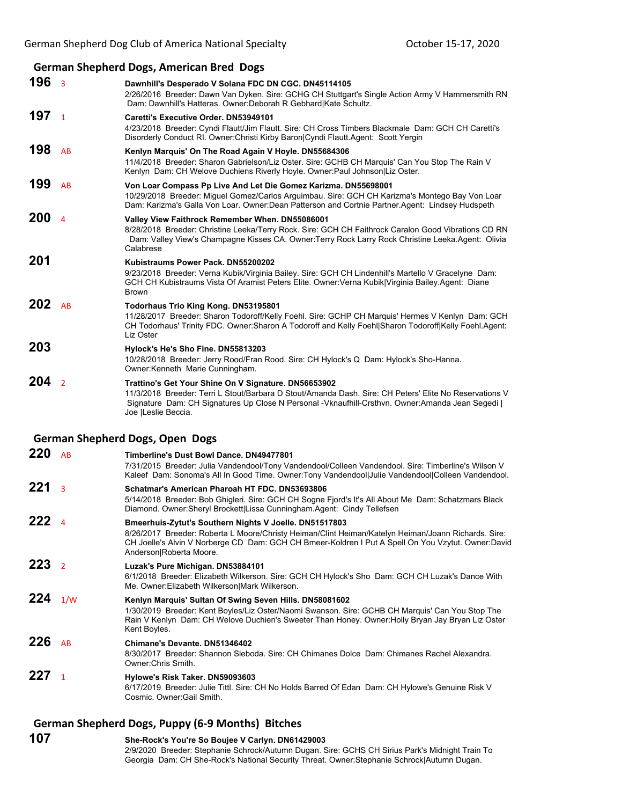## **German Shepherd Dogs, American Bred Dogs**

|           |                         | German Shepherd Dogs, American Bred Dogs                                                                                                                                                                                                                                                        |
|-----------|-------------------------|-------------------------------------------------------------------------------------------------------------------------------------------------------------------------------------------------------------------------------------------------------------------------------------------------|
| 196       | $\overline{\mathbf{3}}$ | Dawnhill's Desperado V Solana FDC DN CGC. DN45114105<br>2/26/2016 Breeder: Dawn Van Dyken. Sire: GCHG CH Stuttgart's Single Action Army V Hammersmith RN<br>Dam: Dawnhill's Hatteras. Owner: Deborah R Gebhard Kate Schultz.                                                                    |
| 197       | $\mathbf{1}$            | Caretti's Executive Order. DN53949101<br>4/23/2018 Breeder: Cyndi Flautt/Jim Flautt. Sire: CH Cross Timbers Blackmale Dam: GCH CH Caretti's<br>Disorderly Conduct RI. Owner: Christi Kirby Baron Cyndi Flautt Agent: Scott Yergin                                                               |
| 198       | AB                      | Kenlyn Marquis' On The Road Again V Hoyle. DN55684306<br>11/4/2018 Breeder: Sharon Gabrielson/Liz Oster. Sire: GCHB CH Marquis' Can You Stop The Rain V<br>Kenlyn Dam: CH Welove Duchiens Riverly Hoyle. Owner: Paul Johnson Liz Oster.                                                         |
| 199       | AB                      | Von Loar Compass Pp Live And Let Die Gomez Karizma. DN55698001<br>10/29/2018 Breeder: Miguel Gomez/Carlos Arguimbau. Sire: GCH CH Karizma's Montego Bay Von Loar<br>Dam: Karizma's Galla Von Loar. Owner: Dean Patterson and Cortnie Partner Agent: Lindsey Hudspeth                            |
| 200       | $\overline{a}$          | Valley View Faithrock Remember When. DN55086001<br>8/28/2018 Breeder: Christine Leeka/Terry Rock. Sire: GCH CH Faithrock Caralon Good Vibrations CD RN<br>Dam: Valley View's Champagne Kisses CA. Owner: Terry Rock Larry Rock Christine Leeka. Agent: Olivia<br>Calabrese                      |
| 201       |                         | Kubistraums Power Pack, DN55200202<br>9/23/2018 Breeder: Verna Kubik/Virginia Bailey. Sire: GCH CH Lindenhill's Martello V Gracelyne Dam:<br>GCH CH Kubistraums Vista Of Aramist Peters Elite. Owner: Verna Kubik Virginia Bailey. Agent: Diane<br><b>Brown</b>                                 |
| 202       | AB                      | Todorhaus Trio King Kong. DN53195801<br>11/28/2017 Breeder: Sharon Todoroff/Kelly Foehl. Sire: GCHP CH Marquis' Hermes V Kenlyn Dam: GCH<br>CH Todorhaus' Trinity FDC. Owner: Sharon A Todoroff and Kelly Foehl Sharon Todoroff Kelly Foehl. Agent:<br>Liz Oster                                |
| 203       |                         | Hylock's He's Sho Fine. DN55813203<br>10/28/2018 Breeder: Jerry Rood/Fran Rood. Sire: CH Hylock's Q Dam: Hylock's Sho-Hanna.<br>Owner: Kenneth Marie Cunningham.                                                                                                                                |
| 204       | $\overline{2}$          | Trattino's Get Your Shine On V Signature. DN56653902<br>11/3/2018 Breeder: Terri L Stout/Barbara D Stout/Amanda Dash. Sire: CH Peters' Elite No Reservations V<br>Signature Dam: CH Signatures Up Close N Personal - Vknaufhill-Crsthvn. Owner: Amanda Jean Segedi  <br>Joe  Leslie Beccia.     |
|           |                         | <b>German Shepherd Dogs, Open Dogs</b>                                                                                                                                                                                                                                                          |
| 220       | AB                      | Timberline's Dust Bowl Dance, DN49477801<br>7/31/2015 Breeder: Julia Vandendool/Tony Vandendool/Colleen Vandendool. Sire: Timberline's Wilson V<br>Kaleef Dam: Sonoma's All In Good Time. Owner: Tony Vandendool Julie Vandendool Colleen Vandendool.                                           |
| 221       | 3                       | Schatmar's American Pharoah HT FDC. DN53693806<br>5/14/2018 Breeder: Bob Ghigleri. Sire: GCH CH Sogne Fjord's It's All About Me Dam: Schatzmars Black<br>Diamond. Owner: Sheryl Brockett Lissa Cunningham. Agent: Cindy Tellefsen                                                               |
| $222_4$   |                         | Bmeerhuis-Zytut's Southern Nights V Joelle. DN51517803<br>8/26/2017 Breeder: Roberta L Moore/Christy Heiman/Clint Heiman/Katelyn Heiman/Joann Richards. Sire:<br>CH Joelle's Alvin V Norberge CD Dam: GCH CH Bmeer-Koldren I Put A Spell On You Vzytut. Owner: David<br>Anderson Roberta Moore. |
| 223       | $\overline{2}$          | Luzak's Pure Michigan. DN53884101<br>6/1/2018 Breeder: Elizabeth Wilkerson. Sire: GCH CH Hylock's Sho Dam: GCH CH Luzak's Dance With<br>Me. Owner: Elizabeth Wilkerson Mark Wilkerson.                                                                                                          |
| 224 $1/w$ |                         | Kenlyn Marquis' Sultan Of Swing Seven Hills. DN58081602<br>1/30/2019 Breeder: Kent Boyles/Liz Oster/Naomi Swanson. Sire: GCHB CH Marquis' Can You Stop The<br>Rain V Kenlyn Dam: CH Welove Duchien's Sweeter Than Honey. Owner: Holly Bryan Jay Bryan Liz Oster<br>Kent Boyles.                 |
| 226       | AB                      | Chimane's Devante, DN51346402<br>8/30/2017 Breeder: Shannon Sleboda. Sire: CH Chimanes Dolce Dam: Chimanes Rachel Alexandra.<br>Owner: Chris Smith.                                                                                                                                             |

- **227** <sup>1</sup> **Hylowe's Risk Taker. DN59093603** 6/17/2019 Breeder: Julie Tittl. Sire: CH No Holds Barred Of Edan Dam: CH Hylowe's Genuine Risk V Cosmic. Owner:Gail Smith.
- **German Shepherd Dogs, Puppy (6‐9 Months) Bitches**
- **107 She-Rock's You're So Boujee V Carlyn. DN61429003** 2/9/2020 Breeder: Stephanie Schrock/Autumn Dugan. Sire: GCHS CH Sirius Park's Midnight Train To Georgia Dam: CH She-Rock's National Security Threat. Owner:Stephanie Schrock|Autumn Dugan.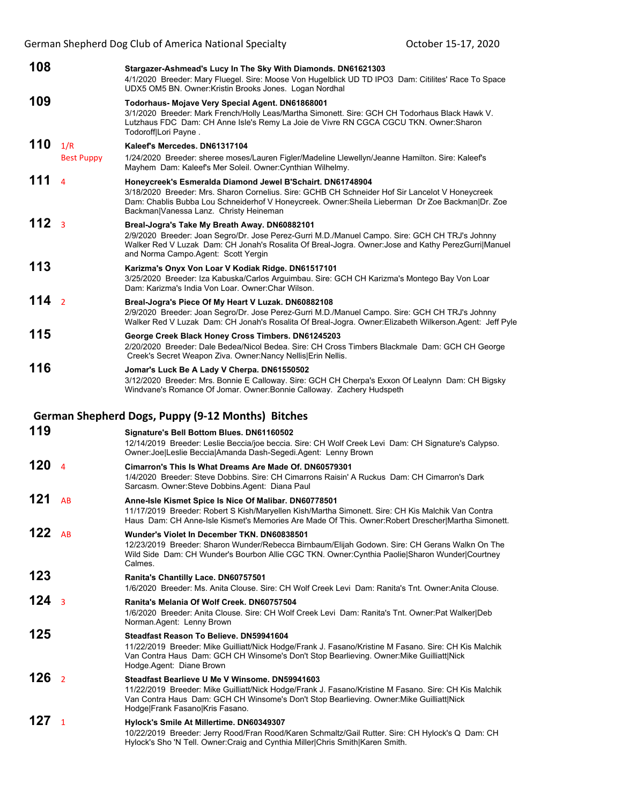German Shepherd Dog Club of America National Specialty **Channel Stepher 15-17, 2020** 

| 108              |                          | Stargazer-Ashmead's Lucy In The Sky With Diamonds. DN61621303<br>4/1/2020 Breeder: Mary Fluegel. Sire: Moose Von Hugelblick UD TD IPO3 Dam: Citilites' Race To Space<br>UDX5 OM5 BN. Owner: Kristin Brooks Jones. Logan Nordhal                                                                             |
|------------------|--------------------------|-------------------------------------------------------------------------------------------------------------------------------------------------------------------------------------------------------------------------------------------------------------------------------------------------------------|
| 109              |                          | Todorhaus- Mojave Very Special Agent. DN61868001<br>3/1/2020 Breeder: Mark French/Holly Leas/Martha Simonett. Sire: GCH CH Todorhaus Black Hawk V.<br>Lutzhaus FDC Dam: CH Anne Isle's Remy La Joie de Vivre RN CGCA CGCU TKN. Owner: Sharon<br>Todoroff Lori Payne.                                        |
| 110              | 1/R<br><b>Best Puppy</b> | Kaleef's Mercedes, DN61317104<br>1/24/2020 Breeder: sheree moses/Lauren Figler/Madeline Llewellyn/Jeanne Hamilton. Sire: Kaleef's<br>Mayhem Dam: Kaleef's Mer Soleil. Owner: Cynthian Wilhelmy.                                                                                                             |
| 111              | $\Delta$                 | Honeycreek's Esmeralda Diamond Jewel B'Schairt. DN61748904<br>3/18/2020 Breeder: Mrs. Sharon Cornelius. Sire: GCHB CH Schneider Hof Sir Lancelot V Honeycreek<br>Dam: Chablis Bubba Lou Schneiderhof V Honeycreek. Owner: Sheila Lieberman Dr Zoe Backman Dr. Zoe<br>Backman Vanessa Lanz. Christy Heineman |
| 112 <sub>3</sub> |                          | Breal-Jogra's Take My Breath Away. DN60882101<br>2/9/2020 Breeder: Joan Segro/Dr. Jose Perez-Gurri M.D./Manuel Campo. Sire: GCH CH TRJ's Johnny<br>Walker Red V Luzak Dam: CH Jonah's Rosalita Of Breal-Jogra. Owner: Jose and Kathy PerezGurri Manuel<br>and Norma Campo Agent: Scott Yergin               |
| 113              |                          | Karizma's Onyx Von Loar V Kodiak Ridge. DN61517101<br>3/25/2020 Breeder: Iza Kabuska/Carlos Arguimbau. Sire: GCH CH Karizma's Montego Bay Von Loar<br>Dam: Karizma's India Von Loar. Owner: Char Wilson.                                                                                                    |
| 114 <sub>2</sub> |                          | Breal-Jogra's Piece Of My Heart V Luzak. DN60882108<br>2/9/2020 Breeder: Joan Segro/Dr. Jose Perez-Gurri M.D./Manuel Campo. Sire: GCH CH TRJ's Johnny<br>Walker Red V Luzak Dam: CH Jonah's Rosalita Of Breal-Jogra. Owner: Elizabeth Wilkerson. Agent: Jeff Pyle                                           |
| 115              |                          | George Creek Black Honey Cross Timbers. DN61245203<br>2/20/2020 Breeder: Dale Bedea/Nicol Bedea. Sire: CH Cross Timbers Blackmale Dam: GCH CH George<br>Creek's Secret Weapon Ziva. Owner: Nancy Nellis   Erin Nellis.                                                                                      |
| 116              |                          | Jomar's Luck Be A Lady V Cherpa. DN61550502<br>3/12/2020 Breeder: Mrs. Bonnie E Calloway. Sire: GCH CH Cherpa's Exxon Of Lealynn Dam: CH Bigsky<br>Windvane's Romance Of Jomar. Owner: Bonnie Calloway. Zachery Hudspeth                                                                                    |
|                  |                          |                                                                                                                                                                                                                                                                                                             |
|                  |                          |                                                                                                                                                                                                                                                                                                             |
| 119              |                          | German Shepherd Dogs, Puppy (9-12 Months) Bitches<br>Signature's Bell Bottom Blues. DN61160502<br>12/14/2019 Breeder: Leslie Beccia/joe beccia. Sire: CH Wolf Creek Levi Dam: CH Signature's Calypso.<br>Owner: Joe Leslie Beccia Amanda Dash-Segedi.Agent: Lenny Brown                                     |
| 120              | $\overline{4}$           | Cimarron's This Is What Dreams Are Made Of. DN60579301<br>1/4/2020 Breeder: Steve Dobbins. Sire: CH Cimarrons Raisin' A Ruckus Dam: CH Cimarron's Dark<br>Sarcasm. Owner: Steve Dobbins. Agent: Diana Paul                                                                                                  |
| 121              | AB                       | Anne-Isle Kismet Spice Is Nice Of Malibar. DN60778501<br>11/17/2019 Breeder: Robert S Kish/Maryellen Kish/Martha Simonett. Sire: CH Kis Malchik Van Contra<br>Haus Dam: CH Anne-Isle Kismet's Memories Are Made Of This. Owner: Robert Drescher Martha Simonett.                                            |
| 122 $AB$         |                          | Wunder's Violet In December TKN, DN60838501<br>12/23/2019 Breeder: Sharon Wunder/Rebecca Birnbaum/Elijah Godown. Sire: CH Gerans Walkn On The<br>Wild Side Dam: CH Wunder's Bourbon Allie CGC TKN. Owner: Cynthia Paolie Sharon Wunder Courtney<br>Calmes.                                                  |
| 123              |                          | Ranita's Chantilly Lace. DN60757501<br>1/6/2020 Breeder: Ms. Anita Clouse, Sire: CH Wolf Creek Levi Dam: Ranita's Tnt, Owner:Anita Clouse,                                                                                                                                                                  |
| $124_{3}$        |                          | Ranita's Melania Of Wolf Creek. DN60757504<br>1/6/2020 Breeder: Anita Clouse. Sire: CH Wolf Creek Levi Dam: Ranita's Tnt. Owner:Pat Walker Deb<br>Norman.Agent: Lenny Brown                                                                                                                                 |
| 125              |                          | Steadfast Reason To Believe, DN59941604<br>11/22/2019 Breeder: Mike Guilliatt/Nick Hodge/Frank J. Fasano/Kristine M Fasano. Sire: CH Kis Malchik<br>Van Contra Haus Dam: GCH CH Winsome's Don't Stop Bearlieving. Owner: Mike Guilliatt Nick<br>Hodge Agent: Diane Brown                                    |
| 126              | $\overline{2}$           | Steadfast Bearlieve U Me V Winsome. DN59941603<br>11/22/2019 Breeder: Mike Guilliatt/Nick Hodge/Frank J. Fasano/Kristine M Fasano. Sire: CH Kis Malchik<br>Van Contra Haus Dam: GCH CH Winsome's Don't Stop Bearlieving. Owner: Mike Guilliatt Nick<br>Hodge Frank Fasano Kris Fasano.                      |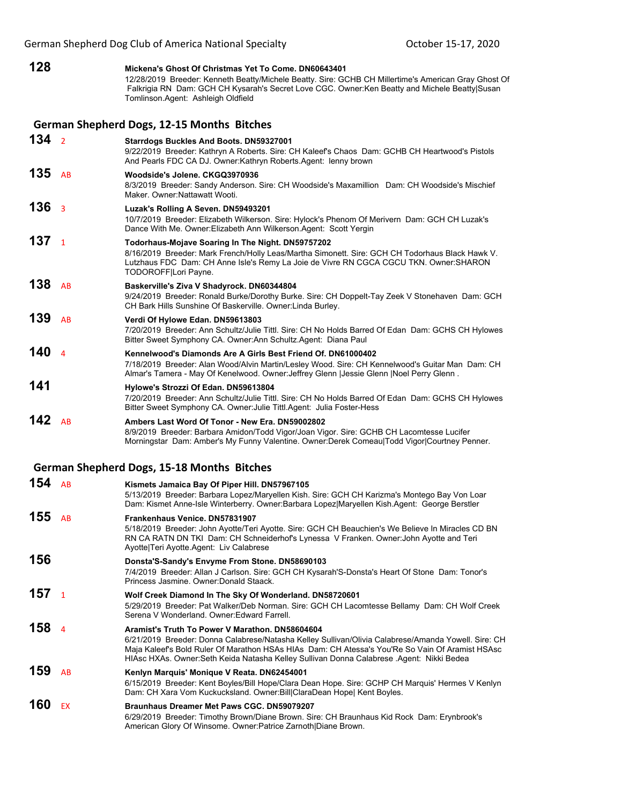- **128 Mickena's Ghost Of Christmas Yet To Come. DN60643401** 12/28/2019 Breeder: Kenneth Beatty/Michele Beatty. Sire: GCHB CH Millertime's American Gray Ghost Of Falkrigia RN Dam: GCH CH Kysarah's Secret Love CGC. Owner:Ken Beatty and Michele Beatty|Susan Tomlinson.Agent: Ashleigh Oldfield **German Shepherd Dogs, 12‐15 Months Bitches 134** <sup>2</sup> **Starrdogs Buckles And Boots. DN59327001** 9/22/2019 Breeder: Kathryn A Roberts. Sire: CH Kaleef's Chaos Dam: GCHB CH Heartwood's Pistols And Pearls FDC CA DJ. Owner:Kathryn Roberts.Agent: lenny brown **135** AB **Woodside's Jolene. CKGQ3970936** 8/3/2019 Breeder: Sandy Anderson. Sire: CH Woodside's Maxamillion Dam: CH Woodside's Mischief Maker. Owner:Nattawatt Wooti. **136** <sup>3</sup> **Luzak's Rolling A Seven. DN59493201** 10/7/2019 Breeder: Elizabeth Wilkerson. Sire: Hylock's Phenom Of Merivern Dam: GCH CH Luzak's Dance With Me. Owner:Elizabeth Ann Wilkerson.Agent: Scott Yergin **137** <sup>1</sup> **Todorhaus-Mojave Soaring In The Night. DN59757202** 8/16/2019 Breeder: Mark French/Holly Leas/Martha Simonett. Sire: GCH CH Todorhaus Black Hawk V. Lutzhaus FDC Dam: CH Anne Isle's Remy La Joie de Vivre RN CGCA CGCU TKN. Owner:SHARON TODOROFF|Lori Payne. **138** AB **Baskerville's Ziva V Shadyrock. DN60344804** 9/24/2019 Breeder: Ronald Burke/Dorothy Burke. Sire: CH Doppelt-Tay Zeek V Stonehaven Dam: GCH CH Bark Hills Sunshine Of Baskerville. Owner:Linda Burley.
- **139** AB **Verdi Of Hylowe Edan. DN59613803** 7/20/2019 Breeder: Ann Schultz/Julie Tittl. Sire: CH No Holds Barred Of Edan Dam: GCHS CH Hylowes Bitter Sweet Symphony CA. Owner:Ann Schultz.Agent: Diana Paul **140** <sup>4</sup> **Kennelwood's Diamonds Are A Girls Best Friend Of. DN61000402**
- 7/18/2019 Breeder: Alan Wood/Alvin Martin/Lesley Wood. Sire: CH Kennelwood's Guitar Man Dam: CH Almar's Tamera - May Of Kenelwood. Owner:Jeffrey Glenn |Jessie Glenn |Noel Perry Glenn . **141 Hylowe's Strozzi Of Edan. DN59613804**
- 7/20/2019 Breeder: Ann Schultz/Julie Tittl. Sire: CH No Holds Barred Of Edan Dam: GCHS CH Hylowes Bitter Sweet Symphony CA. Owner:Julie Tittl.Agent: Julia Foster-Hess
- **142** AB **Ambers Last Word Of Tonor New Era. DN59002802** 8/9/2019 Breeder: Barbara Amidon/Todd Vigor/Joan Vigor. Sire: GCHB CH Lacomtesse Lucifer Morningstar Dam: Amber's My Funny Valentine. Owner:Derek Comeau|Todd Vigor|Courtney Penner.
- **German Shepherd Dogs, 15‐18 Months Bitches**

| 154 | AB             | Kismets Jamaica Bay Of Piper Hill. DN57967105                                                                                                                                                                                                                                                                                                         |
|-----|----------------|-------------------------------------------------------------------------------------------------------------------------------------------------------------------------------------------------------------------------------------------------------------------------------------------------------------------------------------------------------|
|     |                | 5/13/2019 Breeder: Barbara Lopez/Maryellen Kish. Sire: GCH CH Karizma's Montego Bay Von Loar<br>Dam: Kismet Anne-Isle Winterberry. Owner: Barbara Lopez Maryellen Kish. Agent: George Berstler                                                                                                                                                        |
| 155 | AB             | Frankenhaus Venice, DN57831907<br>5/18/2019 Breeder: John Ayotte/Teri Ayotte. Sire: GCH CH Beauchien's We Believe In Miracles CD BN<br>RN CA RATN DN TKI Dam: CH Schneiderhof's Lynessa V Franken. Owner: John Ayotte and Teri<br>Avotte Teri Avotte Agent: Liv Calabrese                                                                             |
| 156 |                | Donsta'S-Sandy's Envyme From Stone. DN58690103<br>7/4/2019 Breeder: Allan J Carlson. Sire: GCH CH Kysarah'S-Donsta's Heart Of Stone Dam: Tonor's<br>Princess Jasmine, Owner: Donald Staack.                                                                                                                                                           |
| 157 | $\overline{1}$ | Wolf Creek Diamond In The Sky Of Wonderland. DN58720601<br>5/29/2019 Breeder: Pat Walker/Deb Norman. Sire: GCH CH Lacomtesse Bellamy Dam: CH Wolf Creek<br>Serena V Wonderland, Owner: Edward Farrell,                                                                                                                                                |
| 158 | $\Delta$       | Aramist's Truth To Power V Marathon, DN58604604<br>6/21/2019 Breeder: Donna Calabrese/Natasha Kelley Sullivan/Olivia Calabrese/Amanda Yowell. Sire: CH<br>Maja Kaleef's Bold Ruler Of Marathon HSAs HIAs Dam: CH Atessa's You'Re So Vain Of Aramist HSAsc<br>HIAsc HXAs. Owner:Seth Keida Natasha Kelley Sullivan Donna Calabrese .Agent: Nikki Bedea |
| 159 | AB             | Kenlyn Marquis' Monique V Reata. DN62454001<br>6/15/2019 Breeder: Kent Boyles/Bill Hope/Clara Dean Hope. Sire: GCHP CH Marguis' Hermes V Kenlyn<br>Dam: CH Xara Vom Kuckucksland. Owner: Bill ClaraDean Hope  Kent Boyles.                                                                                                                            |
| 160 | <b>EX</b>      | Braunhaus Dreamer Met Paws CGC, DN59079207<br>6/29/2019 Breeder: Timothy Brown/Diane Brown. Sire: CH Braunhaus Kid Rock Dam: Erynbrook's<br>American Glory Of Winsome, Owner:Patrice Zarnoth Diane Brown.                                                                                                                                             |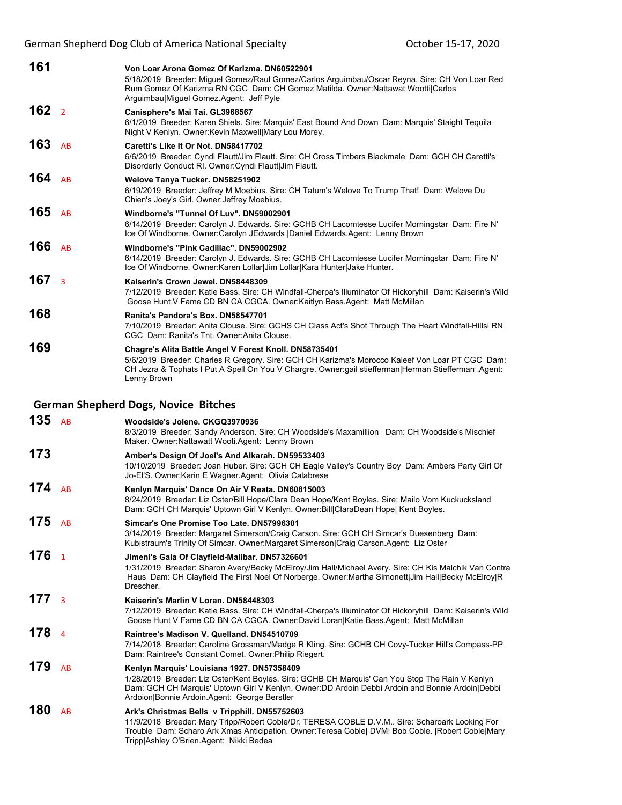| 161              |                | Von Loar Arona Gomez Of Karizma, DN60522901<br>5/18/2019 Breeder: Miguel Gomez/Raul Gomez/Carlos Arguimbau/Oscar Reyna. Sire: CH Von Loar Red<br>Rum Gomez Of Karizma RN CGC Dam: CH Gomez Matilda. Owner: Nattawat Wootti Carlos<br>ArguimbaulMiquel Gomez Agent: Jeff Pyle    |
|------------------|----------------|---------------------------------------------------------------------------------------------------------------------------------------------------------------------------------------------------------------------------------------------------------------------------------|
| 162 <sub>2</sub> |                | Canisphere's Mai Tai. GL3968567<br>6/1/2019 Breeder: Karen Shiels. Sire: Marquis' East Bound And Down Dam: Marquis' Staight Tequila<br>Night V Kenlyn. Owner: Kevin Maxwell Mary Lou Morey.                                                                                     |
| 163              | <b>AR</b>      | Caretti's Like It Or Not. DN58417702<br>6/6/2019 Breeder: Cyndi Flautt/Jim Flautt. Sire: CH Cross Timbers Blackmale Dam: GCH CH Caretti's<br>Disorderly Conduct RI. Owner: Cyndi Flautt Jim Flautt.                                                                             |
| 164              | AB             | Welove Tanya Tucker. DN58251902<br>6/19/2019 Breeder: Jeffrey M Moebius. Sire: CH Tatum's Welove To Trump That! Dam: Welove Du<br>Chien's Joey's Girl. Owner: Jeffrey Moebius.                                                                                                  |
| 165              | AB             | Windborne's "Tunnel Of Luv", DN59002901<br>6/14/2019 Breeder: Carolyn J. Edwards. Sire: GCHB CH Lacomtesse Lucifer Morningstar Dam: Fire N'<br>Ice Of Windborne. Owner:Carolyn JEdwards  Daniel Edwards.Agent: Lenny Brown                                                      |
| 166              | AB             | Windborne's "Pink Cadillac". DN59002902<br>6/14/2019 Breeder: Carolyn J. Edwards. Sire: GCHB CH Lacomtesse Lucifer Morningstar Dam: Fire N'<br>Ice Of Windborne. Owner: Karen Lollar Jim Lollar Kara Hunter Jake Hunter.                                                        |
| 167              | $\overline{3}$ | Kaiserin's Crown Jewel, DN58448309<br>7/12/2019 Breeder: Katie Bass. Sire: CH Windfall-Cherpa's Illuminator Of Hickoryhill Dam: Kaiserin's Wild<br>Goose Hunt V Fame CD BN CA CGCA. Owner: Kaitlyn Bass. Agent: Matt McMillan                                                   |
| 168              |                | Ranita's Pandora's Box. DN58547701<br>7/10/2019 Breeder: Anita Clouse. Sire: GCHS CH Class Act's Shot Through The Heart Windfall-Hillsi RN<br>CGC Dam: Ranita's Tnt. Owner: Anita Clouse.                                                                                       |
| 169              |                | Chagre's Alita Battle Angel V Forest Knoll. DN58735401<br>5/6/2019 Breeder: Charles R Gregory. Sire: GCH CH Karizma's Morocco Kaleef Von Loar PT CGC Dam:<br>CH Jezra & Tophats I Put A Spell On You V Chargre. Owner:gail stiefferman Herman Stiefferman Agent:<br>Lenny Brown |
|                  |                | <b>German Shepherd Dogs, Novice Bitches</b>                                                                                                                                                                                                                                     |
| 135              | AB             | Woodside's Jolene, CKGQ3970936<br>8/3/2019 Breeder: Sandy Anderson. Sire: CH Woodside's Maxamillion Dam: CH Woodside's Mischief<br>Maker. Owner: Nattawatt Wooti. Agent: Lenny Brown                                                                                            |

- **173 Amber's Design Of Joel's And Alkarah. DN59533403** 10/10/2019 Breeder: Joan Huber. Sire: GCH CH Eagle Valley's Country Boy Dam: Ambers Party Girl Of Jo-El'S. Owner:Karin E Wagner.Agent: Olivia Calabrese
- **174** AB **Kenlyn Marquis' Dance On Air V Reata. DN60815003** 8/24/2019 Breeder: Liz Oster/Bill Hope/Clara Dean Hope/Kent Boyles. Sire: Mailo Vom Kuckucksland Dam: GCH CH Marquis' Uptown Girl V Kenlyn. Owner: Bill|ClaraDean Hope| Kent Boyles. **175** AB **Simcar's One Promise Too Late. DN57996301**
- 3/14/2019 Breeder: Margaret Simerson/Craig Carson. Sire: GCH CH Simcar's Duesenberg Dam: Kubistraum's Trinity Of Simcar. Owner:Margaret Simerson|Craig Carson.Agent: Liz Oster

# **176** <sup>1</sup> **Jimeni's Gala Of Clayfield-Malibar. DN57326601**

- 1/31/2019 Breeder: Sharon Avery/Becky McElroy/Jim Hall/Michael Avery. Sire: CH Kis Malchik Van Contra Haus Dam: CH Clayfield The First Noel Of Norberge. Owner:Martha Simonett|Jim Hall|Becky McElroy|R Drescher.
- **177** <sup>3</sup> **Kaiserin's Marlin V Loran. DN58448303**
	- 7/12/2019 Breeder: Katie Bass. Sire: CH Windfall-Cherpa's Illuminator Of Hickoryhill Dam: Kaiserin's Wild Goose Hunt V Fame CD BN CA CGCA. Owner:David Loran|Katie Bass.Agent: Matt McMillan

## **178** <sup>4</sup> **Raintree's Madison V. Quelland. DN54510709**

7/14/2018 Breeder: Caroline Grossman/Madge R Kling. Sire: GCHB CH Covy-Tucker Hill's Compass-PP Dam: Raintree's Constant Comet. Owner:Philip Riegert.

## **179** AB **Kenlyn Marquis' Louisiana 1927. DN57358409**

1/28/2019 Breeder: Liz Oster/Kent Boyles. Sire: GCHB CH Marquis' Can You Stop The Rain V Kenlyn Dam: GCH CH Marquis' Uptown Girl V Kenlyn. Owner:DD Ardoin Debbi Ardoin and Bonnie Ardoin|Debbi Ardoion|Bonnie Ardoin.Agent: George Berstler

### **180** AB **Ark's Christmas Bells v Tripphill. DN55752603**

11/9/2018 Breeder: Mary Tripp/Robert Coble/Dr. TERESA COBLE D.V.M.. Sire: Scharoark Looking For Trouble Dam: Scharo Ark Xmas Anticipation. Owner:Teresa Coble| DVM| Bob Coble. |Robert Coble|Mary Tripp|Ashley O'Brien.Agent: Nikki Bedea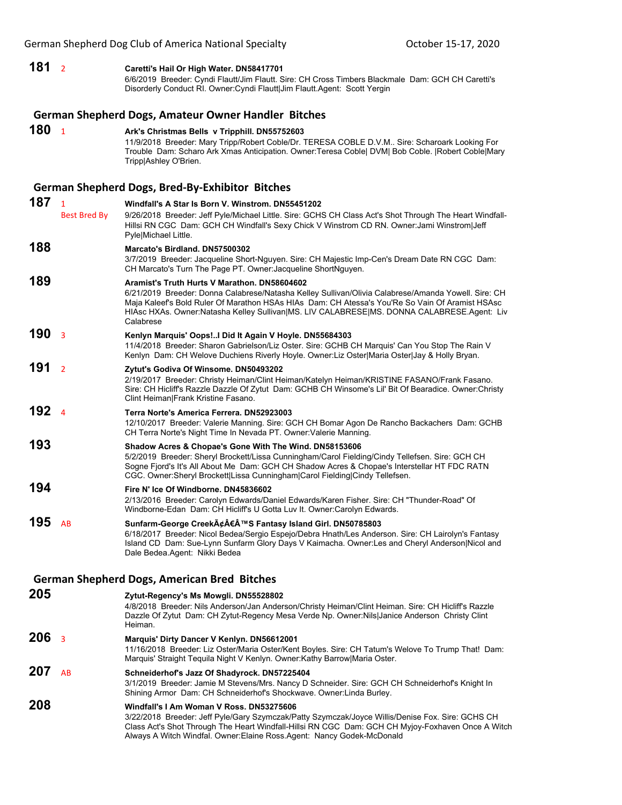### **181** <sup>2</sup> **Caretti's Hail Or High Water. DN58417701** 6/6/2019 Breeder: Cyndi Flautt/Jim Flautt. Sire: CH Cross Timbers Blackmale Dam: GCH CH Caretti's Disorderly Conduct RI. Owner:Cyndi Flautt|Jim Flautt.Agent: Scott Yergin **German Shepherd Dogs, Amateur Owner Handler Bitches 180** <sup>1</sup> **Ark's Christmas Bells v Tripphill. DN55752603** 11/9/2018 Breeder: Mary Tripp/Robert Coble/Dr. TERESA COBLE D.V.M.. Sire: Scharoark Looking For Trouble Dam: Scharo Ark Xmas Anticipation. Owner:Teresa Coble| DVM| Bob Coble. |Robert Coble|Mary Tripp|Ashley O'Brien. **German Shepherd Dogs, Bred‐By‐Exhibitor Bitches 187** <sup>1</sup> **Windfall's A Star Is Born V. Winstrom. DN55451202** Best Bred By 9/26/2018 Breeder: Jeff Pyle/Michael Little. Sire: GCHS CH Class Act's Shot Through The Heart Windfall-Hillsi RN CGC Dam: GCH CH Windfall's Sexy Chick V Winstrom CD RN. Owner:Jami Winstrom|Jeff Pyle|Michael Little. **188 Marcato's Birdland. DN57500302** 3/7/2019 Breeder: Jacqueline Short-Nguyen. Sire: CH Majestic Imp-Cen's Dream Date RN CGC Dam: CH Marcato's Turn The Page PT. Owner:Jacqueline ShortNguyen. **189 Aramist's Truth Hurts V Marathon. DN58604602** 6/21/2019 Breeder: Donna Calabrese/Natasha Kelley Sullivan/Olivia Calabrese/Amanda Yowell. Sire: CH Maja Kaleef's Bold Ruler Of Marathon HSAs HIAs Dam: CH Atessa's You'Re So Vain Of Aramist HSAsc HIAsc HXAs. Owner:Natasha Kelley Sullivan|MS. LIV CALABRESE|MS. DONNA CALABRESE.Agent: Liv Calabrese **190** <sup>3</sup> **Kenlyn Marquis' Oops!..I Did It Again V Hoyle. DN55684303** 11/4/2018 Breeder: Sharon Gabrielson/Liz Oster. Sire: GCHB CH Marquis' Can You Stop The Rain V Kenlyn Dam: CH Welove Duchiens Riverly Hoyle. Owner:Liz Oster|Maria Oster|Jay & Holly Bryan. **191** <sup>2</sup> **Zytut's Godiva Of Winsome. DN50493202** 2/19/2017 Breeder: Christy Heiman/Clint Heiman/Katelyn Heiman/KRISTINE FASANO/Frank Fasano. Sire: CH Hicliff's Razzle Dazzle Of Zytut Dam: GCHB CH Winsome's Lil' Bit Of Bearadice. Owner:Christy Clint Heiman|Frank Kristine Fasano. **192** <sup>4</sup> **Terra Norte's America Ferrera. DN52923003** 12/10/2017 Breeder: Valerie Manning. Sire: GCH CH Bomar Agon De Rancho Backachers Dam: GCHB CH Terra Norte's Night Time In Nevada PT. Owner:Valerie Manning. **193 Shadow Acres & Chopae's Gone With The Wind. DN58153606** 5/2/2019 Breeder: Sheryl Brockett/Lissa Cunningham/Carol Fielding/Cindy Tellefsen. Sire: GCH CH Sogne Fjord's It's All About Me Dam: GCH CH Shadow Acres & Chopae's Interstellar HT FDC RATN CGC. Owner:Sheryl Brockett|Lissa Cunningham|Carol Fielding|Cindy Tellefsen. **194 Fire N' Ice Of Windborne. DN45836602** 2/13/2016 Breeder: Carolyn Edwards/Daniel Edwards/Karen Fisher. Sire: CH "Thunder-Road" Of Windborne-Edan Dam: CH Hicliff's U Gotta Luv It. Owner:Carolyn Edwards. **195** AB Sunfarm-George Creek $\tilde{A} \notin \hat{A}$  **Fantasy Island Girl. DN50785803** 6/18/2017 Breeder: Nicol Bedea/Sergio Espejo/Debra Hnath/Les Anderson. Sire: CH Lairolyn's Fantasy Island CD Dam: Sue-Lynn Sunfarm Glory Days V Kaimacha. Owner:Les and Cheryl Anderson|Nicol and Dale Bedea.Agent: Nikki Bedea **German Shepherd Dogs, American Bred Bitches 205 Zytut-Regency's Ms Mowgli. DN55528802** 4/8/2018 Breeder: Nils Anderson/Jan Anderson/Christy Heiman/Clint Heiman. Sire: CH Hicliff's Razzle Dazzle Of Zytut Dam: CH Zytut-Regency Mesa Verde Np. Owner:Nils|Janice Anderson Christy Clint Heiman. **206** <sup>3</sup> **Marquis' Dirty Dancer V Kenlyn. DN56612001** 11/16/2018 Breeder: Liz Oster/Maria Oster/Kent Boyles. Sire: CH Tatum's Welove To Trump That! Dam: Marquis' Straight Tequila Night V Kenlyn. Owner:Kathy Barrow|Maria Oster. **207** AB **Schneiderhof's Jazz Of Shadyrock. DN57225404** 3/1/2019 Breeder: Jamie M Stevens/Mrs. Nancy D Schneider. Sire: GCH CH Schneiderhof's Knight In Shining Armor Dam: CH Schneiderhof's Shockwave. Owner:Linda Burley. **208 Windfall's I Am Woman V Ross. DN53275606** 3/22/2018 Breeder: Jeff Pyle/Gary Szymczak/Patty Szymczak/Joyce Willis/Denise Fox. Sire: GCHS CH Class Act's Shot Through The Heart Windfall-Hillsi RN CGC Dam: GCH CH Myjoy-Foxhaven Once A Witch Always A Witch Windfal. Owner:Elaine Ross.Agent: Nancy Godek-McDonald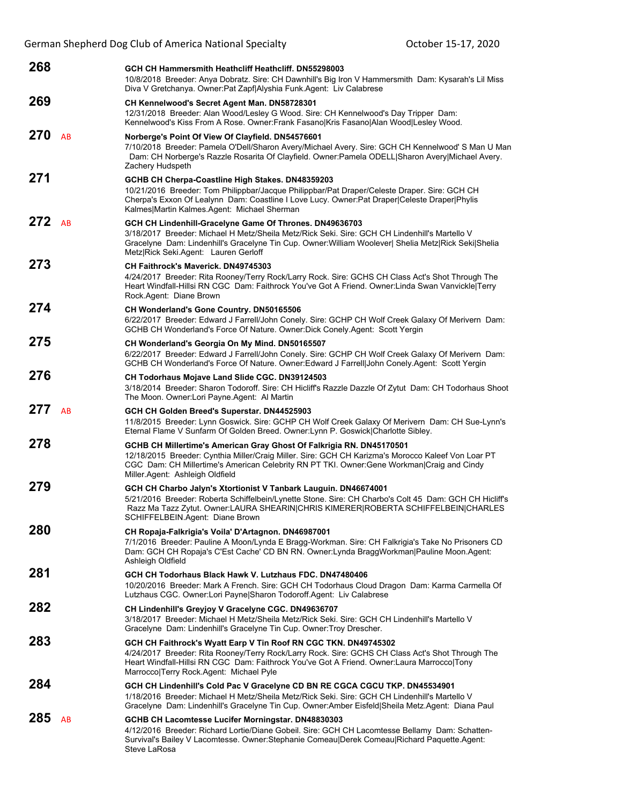| 268         |            | GCH CH Hammersmith Heathcliff Heathcliff. DN55298003<br>10/8/2018 Breeder: Anya Dobratz. Sire: CH Dawnhill's Big Iron V Hammersmith Dam: Kysarah's Lil Miss<br>Diva V Gretchanya. Owner:Pat Zapf Alyshia Funk.Agent: Liv Calabrese                                                                           |
|-------------|------------|--------------------------------------------------------------------------------------------------------------------------------------------------------------------------------------------------------------------------------------------------------------------------------------------------------------|
| 269         |            | CH Kennelwood's Secret Agent Man. DN58728301<br>12/31/2018 Breeder: Alan Wood/Lesley G Wood. Sire: CH Kennelwood's Day Tripper Dam:<br>Kennelwood's Kiss From A Rose. Owner: Frank Fasano Kris Fasano Alan Wood Lesley Wood.                                                                                 |
| 270         | AB         | Norberge's Point Of View Of Clayfield. DN54576601<br>7/10/2018 Breeder: Pamela O'Dell/Sharon Avery/Michael Avery. Sire: GCH CH Kennelwood' S Man U Man<br>Dam: CH Norberge's Razzle Rosarita Of Clayfield. Owner:Pamela ODELL Sharon Avery Michael Avery.<br>Zachery Hudspeth                                |
| 271         |            | GCHB CH Cherpa-Coastline High Stakes. DN48359203<br>10/21/2016 Breeder: Tom Philippbar/Jacque Philippbar/Pat Draper/Celeste Draper. Sire: GCH CH<br>Cherpa's Exxon Of Lealynn Dam: Coastline I Love Lucy. Owner:Pat Draper Celeste Draper Phylis<br>Kalmes Martin Kalmes.Agent: Michael Sherman              |
| 272         | AB         | GCH CH Lindenhill-Gracelyne Game Of Thrones. DN49636703<br>3/18/2017 Breeder: Michael H Metz/Sheila Metz/Rick Seki. Sire: GCH CH Lindenhill's Martello V<br>Gracelyne Dam: Lindenhill's Gracelyne Tin Cup. Owner: William Woolever  Shelia Metz Rick Seki Shelia<br>Metz Rick Seki.Agent: Lauren Gerloff     |
| 273         |            | <b>CH Faithrock's Maverick, DN49745303</b><br>4/24/2017 Breeder: Rita Rooney/Terry Rock/Larry Rock. Sire: GCHS CH Class Act's Shot Through The<br>Heart Windfall-Hillsi RN CGC Dam: Faithrock You've Got A Friend. Owner: Linda Swan Vanvickle Terry<br>Rock.Agent: Diane Brown                              |
| 274         |            | <b>CH Wonderland's Gone Country. DN50165506</b><br>6/22/2017 Breeder: Edward J Farrell/John Conely. Sire: GCHP CH Wolf Creek Galaxy Of Merivern Dam:<br>GCHB CH Wonderland's Force Of Nature. Owner: Dick Conely. Agent: Scott Yergin                                                                        |
| $275$ Sel 4 |            | CH Wonderland's Georgia On My Mind. DN50165507<br>6/22/2017 Breeder: Edward J Farrell/John Conely. Sire: GCHP CH Wolf Creek Galaxy Of Merivern Dam:<br>GCHB CH Wonderland's Force Of Nature. Owner: Edward J Farrell John Conely Agent: Scott Yergin                                                         |
| 276         |            | <b>CH Todorhaus Mojave Land Slide CGC. DN39124503</b><br>3/18/2014 Breeder: Sharon Todoroff. Sire: CH Hicliff's Razzle Dazzle Of Zytut Dam: CH Todorhaus Shoot<br>The Moon. Owner: Lori Payne. Agent: Al Martin                                                                                              |
| 277         | AB         | GCH CH Golden Breed's Superstar. DN44525903<br>11/8/2015 Breeder: Lynn Goswick. Sire: GCHP CH Wolf Creek Galaxy Of Merivern Dam: CH Sue-Lynn's<br>Eternal Flame V Sunfarm Of Golden Breed. Owner: Lynn P. Goswick Charlotte Sibley.                                                                          |
|             | 278 Sel 10 | GCHB CH Millertime's American Gray Ghost Of Falkrigia RN. DN45170501<br>12/18/2015 Breeder: Cynthia Miller/Craig Miller. Sire: GCH CH Karizma's Morocco Kaleef Von Loar PT<br>CGC Dam: CH Millertime's American Celebrity RN PT TKI. Owner: Gene Workman Craig and Cindy<br>Miller.Agent: Ashleigh Oldfield  |
| 279         |            | GCH CH Charbo Jalyn's Xtortionist V Tanbark Lauguin. DN46674001<br>5/21/2016 Breeder: Roberta Schiffelbein/Lynette Stone. Sire: CH Charbo's Colt 45 Dam: GCH CH Hicliff's<br>Razz Ma Tazz Zytut. Owner:LAURA SHEARIN CHRIS KIMERER ROBERTA SCHIFFELBEIN CHARLES<br>SCHIFFELBEIN.Agent: Diane Brown           |
| 280         |            | CH Ropaja-Falkrigia's Voila' D'Artagnon. DN46987001<br>7/1/2016 Breeder: Pauline A Moon/Lynda E Bragg-Workman. Sire: CH Falkrigia's Take No Prisoners CD<br>Dam: GCH CH Ropaja's C'Est Cache' CD BN RN. Owner:Lynda BraggWorkman Pauline Moon.Agent:<br>Ashleigh Oldfield                                    |
| 281         |            | GCH CH Todorhaus Black Hawk V. Lutzhaus FDC. DN47480406<br>10/20/2016 Breeder: Mark A French. Sire: GCH CH Todorhaus Cloud Dragon Dam: Karma Carmella Of<br>Lutzhaus CGC. Owner:Lori Payne Sharon Todoroff.Agent: Liv Calabrese                                                                              |
| 282         |            | CH Lindenhill's Greyjoy V Gracelyne CGC. DN49636707<br>3/18/2017 Breeder: Michael H Metz/Sheila Metz/Rick Seki. Sire: GCH CH Lindenhill's Martello V<br>Gracelyne Dam: Lindenhill's Gracelyne Tin Cup. Owner: Troy Drescher.                                                                                 |
| 283         |            | GCH CH Faithrock's Wyatt Earp V Tin Roof RN CGC TKN. DN49745302<br>4/24/2017 Breeder: Rita Rooney/Terry Rock/Larry Rock. Sire: GCHS CH Class Act's Shot Through The<br>Heart Windfall-Hillsi RN CGC Dam: Faithrock You've Got A Friend. Owner:Laura Marrocco Tony<br>Marrocco Terry Rock.Agent: Michael Pyle |
| $284$ Sel 8 |            | GCH CH Lindenhill's Cold Pac V Gracelyne CD BN RE CGCA CGCU TKP. DN45534901<br>1/18/2016 Breeder: Michael H Metz/Sheila Metz/Rick Seki. Sire: GCH CH Lindenhill's Martello V<br>Gracelyne Dam: Lindenhill's Gracelyne Tin Cup. Owner:Amber Eisfeld Sheila Metz.Agent: Diana Paul                             |
| 285         | AB         | GCHB CH Lacomtesse Lucifer Morningstar. DN48830303<br>4/12/2016 Breeder: Richard Lortie/Diane Gobeil. Sire: GCH CH Lacomtesse Bellamy Dam: Schatten-<br>Survival's Bailey V Lacomtesse. Owner: Stephanie Comeau   Derek Comeau   Richard Paquette. Agent:<br>Steve LaRosa                                    |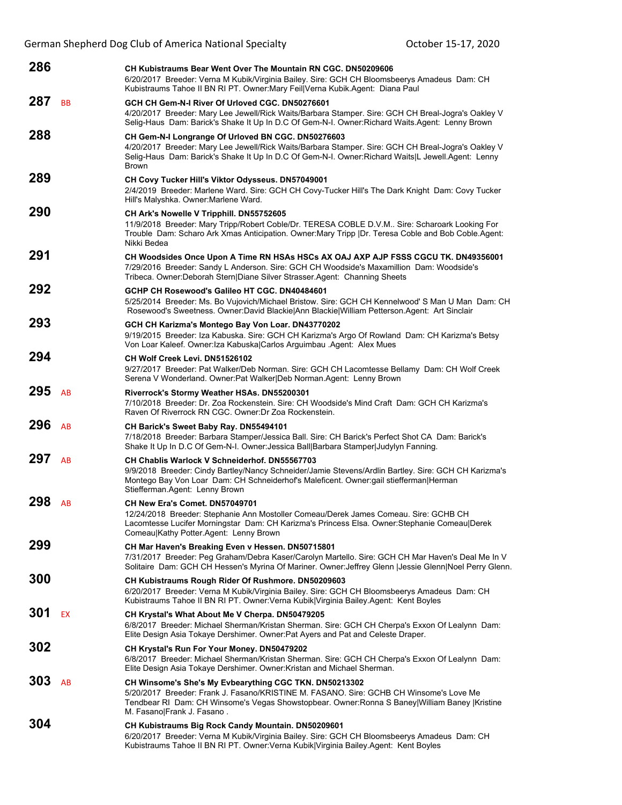| $286$ Sel 6 |              | CH Kubistraums Bear Went Over The Mountain RN CGC. DN50209606<br>6/20/2017 Breeder: Verna M Kubik/Virginia Bailey. Sire: GCH CH Bloomsbeerys Amadeus Dam: CH<br>Kubistraums Tahoe II BN RI PT. Owner: Mary Feil Verna Kubik. Agent: Diana Paul                                   |
|-------------|--------------|----------------------------------------------------------------------------------------------------------------------------------------------------------------------------------------------------------------------------------------------------------------------------------|
| 287         | <b>BB GV</b> | GCH CH Gem-N-I River Of Urloved CGC. DN50276601<br>4/20/2017 Breeder: Mary Lee Jewell/Rick Waits/Barbara Stamper. Sire: GCH CH Breal-Jogra's Oakley V<br>Selig-Haus Dam: Barick's Shake It Up In D.C Of Gem-N-I. Owner: Richard Waits. Agent: Lenny Brown                        |
|             | 288 Sel 7    | CH Gem-N-I Longrange Of Urloved BN CGC. DN50276603<br>4/20/2017 Breeder: Mary Lee Jewell/Rick Waits/Barbara Stamper. Sire: GCH CH Breal-Jogra's Oakley V<br>Selig-Haus Dam: Barick's Shake It Up In D.C Of Gem-N-I. Owner: Richard Waits L Jewell Agent: Lenny<br><b>Brown</b>   |
| 289         |              | CH Covy Tucker Hill's Viktor Odysseus. DN57049001<br>2/4/2019 Breeder: Marlene Ward. Sire: GCH CH Covy-Tucker Hill's The Dark Knight Dam: Covy Tucker<br>Hill's Malyshka. Owner: Marlene Ward.                                                                                   |
| 290         |              | CH Ark's Nowelle V Tripphill. DN55752605<br>11/9/2018 Breeder: Mary Tripp/Robert Coble/Dr. TERESA COBLE D.V.M Sire: Scharoark Looking For<br>Trouble Dam: Scharo Ark Xmas Anticipation. Owner: Mary Tripp   Dr. Teresa Coble and Bob Coble. Agent:<br>Nikki Bedea                |
|             | $291$ Sel 5  | CH Woodsides Once Upon A Time RN HSAs HSCs AX OAJ AXP AJP FSSS CGCU TK. DN49356001<br>7/29/2016 Breeder: Sandy L Anderson. Sire: GCH CH Woodside's Maxamillion Dam: Woodside's<br>Tribeca. Owner: Deborah Stern Diane Silver Strasser. Agent: Channing Sheets                    |
| 292 Sel 9   |              | GCHP CH Rosewood's Galileo HT CGC, DN40484601<br>5/25/2014 Breeder: Ms. Bo Vujovich/Michael Bristow. Sire: GCH CH Kennelwood' S Man U Man Dam: CH<br>Rosewood's Sweetness. Owner:David Blackie Ann Blackie William Petterson.Agent: Art Sinclair                                 |
| 293         |              | GCH CH Karizma's Montego Bay Von Loar. DN43770202<br>9/19/2015 Breeder: Iza Kabuska. Sire: GCH CH Karizma's Argo Of Rowland Dam: CH Karizma's Betsy<br>Von Loar Kaleef. Owner: Iza Kabuska Carlos Arguimbau .Agent: Alex Mues                                                    |
| 294         | Sel 3        | CH Wolf Creek Levi. DN51526102<br>9/27/2017 Breeder: Pat Walker/Deb Norman. Sire: GCH CH Lacomtesse Bellamy Dam: CH Wolf Creek<br>Serena V Wonderland. Owner: Pat Walker Deb Norman. Agent: Lenny Brown                                                                          |
| 295         | AB           | Riverrock's Stormy Weather HSAs. DN55200301<br>7/10/2018 Breeder: Dr. Zoa Rockenstein. Sire: CH Woodside's Mind Craft Dam: GCH CH Karizma's<br>Raven Of Riverrock RN CGC, Owner: Dr Zoa Rockenstein.                                                                             |
| 296         | AB           | CH Barick's Sweet Baby Ray. DN55494101<br>7/18/2018 Breeder: Barbara Stamper/Jessica Ball. Sire: CH Barick's Perfect Shot CA Dam: Barick's<br>Shake It Up In D.C Of Gem-N-I. Owner: Jessica Ball Barbara Stamper Judylyn Fanning.                                                |
| 297         | AB           | CH Chablis Warlock V Schneiderhof. DN55567703<br>9/9/2018 Breeder: Cindy Bartley/Nancy Schneider/Jamie Stevens/Ardlin Bartley. Sire: GCH CH Karizma's<br>Montego Bay Von Loar Dam: CH Schneiderhof's Maleficent. Owner:gail stiefferman Herman<br>Stiefferman.Agent: Lenny Brown |
| 298         | AB           | CH New Era's Comet. DN57049701<br>12/24/2018 Breeder: Stephanie Ann Mostoller Comeau/Derek James Comeau, Sire: GCHB CH<br>Lacomtesse Lucifer Morningstar Dam: CH Karizma's Princess Elsa. Owner: Stephanie Comeau Derek<br>Comeau Kathy Potter.Agent: Lenny Brown                |
| 299         |              | CH Mar Haven's Breaking Even v Hessen. DN50715801<br>7/31/2017 Breeder: Peg Graham/Debra Kaser/Carolyn Martello. Sire: GCH CH Mar Haven's Deal Me In V<br>Solitaire Dam: GCH CH Hessen's Myrina Of Mariner. Owner: Jeffrey Glenn   Jessie Glenn Noel Perry Glenn.                |
| 300         |              | CH Kubistraums Rough Rider Of Rushmore. DN50209603<br>6/20/2017 Breeder: Verna M Kubik/Virginia Bailey. Sire: GCH CH Bloomsbeerys Amadeus Dam: CH<br>Kubistraums Tahoe II BN RI PT. Owner: Verna Kubik   Virginia Bailey Agent: Kent Boyles                                      |
| 301         | EX           | CH Krystal's What About Me V Cherpa. DN50479205<br>6/8/2017 Breeder: Michael Sherman/Kristan Sherman. Sire: GCH CH Cherpa's Exxon Of Lealynn Dam:<br>Elite Design Asia Tokaye Dershimer. Owner: Pat Ayers and Pat and Celeste Draper.                                            |
| 302         |              | CH Krystal's Run For Your Money. DN50479202<br>6/8/2017 Breeder: Michael Sherman/Kristan Sherman. Sire: GCH CH Cherpa's Exxon Of Lealynn Dam:<br>Elite Design Asia Tokaye Dershimer. Owner: Kristan and Michael Sherman.                                                         |
| 303         | AB           | CH Winsome's She's My Evbearything CGC TKN. DN50213302<br>5/20/2017 Breeder: Frank J. Fasano/KRISTINE M. FASANO. Sire: GCHB CH Winsome's Love Me<br>Tendbear RI Dam: CH Winsome's Vegas Showstopbear. Owner: Ronna S Baney William Baney  Kristine<br>M. Fasano Frank J. Fasano. |
| 304         |              | CH Kubistraums Big Rock Candy Mountain. DN50209601<br>6/20/2017 Breeder: Verna M Kubik/Virginia Bailey. Sire: GCH CH Bloomsbeerys Amadeus Dam: CH<br>Kubistraums Tahoe II BN RI PT. Owner: Verna Kubik   Virginia Bailey Agent: Kent Boyles                                      |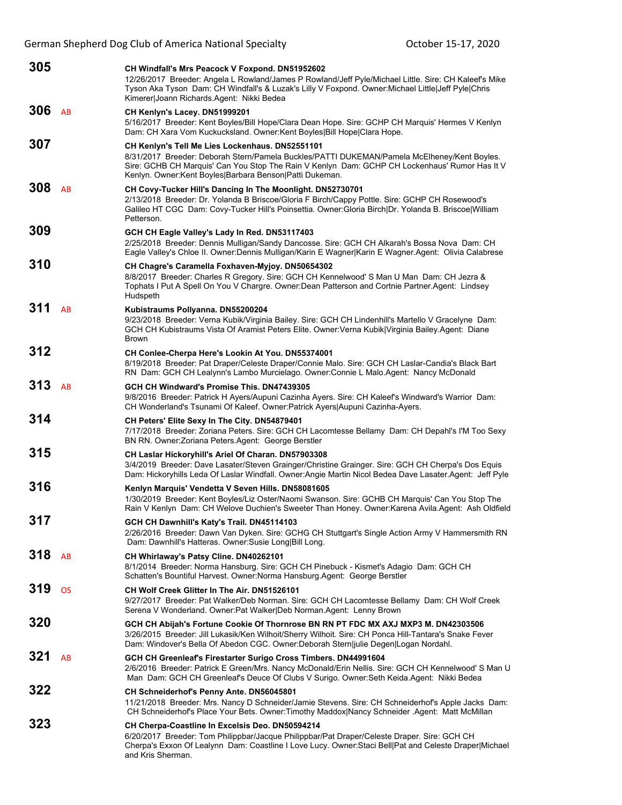German Shepherd Dog Club of America National Specialty **Channel Stepher 15-17, 2020** 

| 305              |               | <b>CH Windfall's Mrs Peacock V Foxpond. DN51952602</b><br>12/26/2017 Breeder: Angela L Rowland/James P Rowland/Jeff Pyle/Michael Little. Sire: CH Kaleef's Mike<br>Tyson Aka Tyson Dam: CH Windfall's & Luzak's Lilly V Foxpond. Owner:Michael Little Jeff Pyle Chris<br>Kimerer Joann Richards.Agent: Nikki Bedea |
|------------------|---------------|--------------------------------------------------------------------------------------------------------------------------------------------------------------------------------------------------------------------------------------------------------------------------------------------------------------------|
| 306              | AB            | CH Kenlyn's Lacey. DN51999201<br>5/16/2017 Breeder: Kent Boyles/Bill Hope/Clara Dean Hope. Sire: GCHP CH Marquis' Hermes V Kenlyn<br>Dam: CH Xara Vom Kuckucksland. Owner: Kent Boyles Bill Hope Clara Hope.                                                                                                       |
| <b>307</b> Sel 3 |               | CH Kenlyn's Tell Me Lies Lockenhaus. DN52551101<br>8/31/2017 Breeder: Deborah Stern/Pamela Buckles/PATTI DUKEMAN/Pamela McElheney/Kent Boyles.<br>Sire: GCHB CH Marquis' Can You Stop The Rain V Kenlyn Dam: GCHP CH Lockenhaus' Rumor Has It V<br>Kenlyn. Owner:Kent Boyles Barbara Benson Patti Dukeman.         |
| 308              | AB            | CH Covy-Tucker Hill's Dancing In The Moonlight. DN52730701<br>2/13/2018 Breeder: Dr. Yolanda B Briscoe/Gloria F Birch/Cappy Pottle. Sire: GCHP CH Rosewood's<br>Galileo HT CGC Dam: Covy-Tucker Hill's Poinsettia. Owner: Gloria Birch Dr. Yolanda B. Briscoe William<br>Petterson.                                |
| <b>309</b> Sel 4 |               | GCH CH Eagle Valley's Lady In Red. DN53117403<br>2/25/2018 Breeder: Dennis Mulligan/Sandy Dancosse. Sire: GCH CH Alkarah's Bossa Nova Dam: CH<br>Eagle Valley's Chloe II. Owner:Dennis Mulligan/Karin E Wagner Karin E Wagner.Agent: Olivia Calabrese                                                              |
| 310 Sel 7        |               | CH Chagre's Caramella Foxhaven-Myjoy. DN50654302<br>8/8/2017 Breeder: Charles R Gregory. Sire: GCH CH Kennelwood' S Man U Man Dam: CH Jezra &<br>Tophats I Put A Spell On You V Chargre. Owner: Dean Patterson and Cortnie Partner Agent: Lindsey<br>Hudspeth                                                      |
| 311              | AB            | Kubistraums Pollyanna. DN55200204<br>9/23/2018 Breeder: Verna Kubik/Virginia Bailey. Sire: GCH CH Lindenhill's Martello V Gracelyne Dam:<br>GCH CH Kubistraums Vista Of Aramist Peters Elite. Owner: Verna Kubik Virginia Bailey. Agent: Diane<br><b>Brown</b>                                                     |
| 312              |               | CH Conlee-Cherpa Here's Lookin At You. DN55374001<br>8/19/2018 Breeder: Pat Draper/Celeste Draper/Connie Malo. Sire: GCH CH Laslar-Candia's Black Bart<br>RN Dam: GCH CH Lealynn's Lambo Murcielago. Owner: Connie L Malo. Agent: Nancy McDonald                                                                   |
| 313              | AB            | GCH CH Windward's Promise This, DN47439305<br>9/8/2016 Breeder: Patrick H Ayers/Aupuni Cazinha Ayers. Sire: CH Kaleef's Windward's Warrior Dam:<br>CH Wonderland's Tsunami Of Kaleef. Owner:Patrick Ayers Aupuni Cazinha-Ayers.                                                                                    |
| 314              |               | CH Peters' Elite Sexy In The City. DN54879401<br>7/17/2018 Breeder: Zoriana Peters. Sire: GCH CH Lacomtesse Bellamy Dam: CH Depahl's I'M Too Sexy<br>BN RN. Owner: Zoriana Peters. Agent: George Berstler                                                                                                          |
| 315              |               | <b>CH Laslar Hickoryhill's Ariel Of Charan. DN57903308</b><br>3/4/2019 Breeder: Dave Lasater/Steven Grainger/Christine Grainger. Sire: GCH CH Cherpa's Dos Equis<br>Dam: Hickoryhills Leda Of Laslar Windfall. Owner:Angie Martin Nicol Bedea Dave Lasater.Agent: Jeff Pyle                                        |
| 316              |               | Kenlyn Marquis' Vendetta V Seven Hills. DN58081605<br>1/30/2019 Breeder: Kent Boyles/Liz Oster/Naomi Swanson. Sire: GCHB CH Marquis' Can You Stop The<br>Rain V Kenlyn Dam: CH Welove Duchien's Sweeter Than Honey. Owner: Karena Avila Agent: Ash Oldfield                                                        |
| 317              |               | GCH CH Dawnhill's Katy's Trail. DN45114103<br>2/26/2016 Breeder: Dawn Van Dyken. Sire: GCHG CH Stuttgart's Single Action Army V Hammersmith RN<br>Dam: Dawnhill's Hatteras. Owner: Susie Long Bill Long.                                                                                                           |
| 318              | AB            | CH Whirlaway's Patsy Cline. DN40262101<br>8/1/2014 Breeder: Norma Hansburg. Sire: GCH CH Pinebuck - Kismet's Adagio Dam: GCH CH<br>Schatten's Bountiful Harvest. Owner: Norma Hansburg. Agent: George Berstler                                                                                                     |
| 319              | <b>OS GVX</b> | CH Wolf Creek Glitter In The Air, DN51526101<br>9/27/2017 Breeder: Pat Walker/Deb Norman. Sire: GCH CH Lacomtesse Bellamy Dam: CH Wolf Creek<br>Serena V Wonderland. Owner: Pat Walker Deb Norman. Agent: Lenny Brown                                                                                              |
| 320              |               | GCH CH Abijah's Fortune Cookie Of Thornrose BN RN PT FDC MX AXJ MXP3 M. DN42303506<br>3/26/2015 Breeder: Jill Lukasik/Ken Wilhoit/Sherry Wilhoit. Sire: CH Ponca Hill-Tantara's Snake Fever<br>Dam: Windover's Bella Of Abedon CGC. Owner:Deborah Stern julie Degen Logan Nordahl.                                 |
| 321              | AB            | GCH CH Greenleaf's Firestarter Surigo Cross Timbers. DN44991604<br>2/6/2016 Breeder: Patrick E Green/Mrs. Nancy McDonald/Erin Nellis. Sire: GCH CH Kennelwood' S Man U<br>Man Dam: GCH CH Greenleaf's Deuce Of Clubs V Surigo. Owner: Seth Keida Agent: Nikki Bedea                                                |
| 322              |               | <b>CH Schneiderhof's Penny Ante. DN56045801</b><br>11/21/2018 Breeder: Mrs. Nancy D Schneider/Jamie Stevens. Sire: CH Schneiderhof's Apple Jacks Dam:<br>CH Schneiderhof's Place Your Bets. Owner: Timothy Maddox Nancy Schneider .Agent: Matt McMillan                                                            |
| 323              |               | CH Cherpa-Coastline In Excelsis Deo. DN50594214<br>6/20/2017 Breeder: Tom Philippbar/Jacque Philippbar/Pat Draper/Celeste Draper. Sire: GCH CH<br>Cherpa's Exxon Of Lealynn Dam: Coastline I Love Lucy. Owner: Staci Bell Pat and Celeste Draper Michael<br>and Kris Sherman.                                      |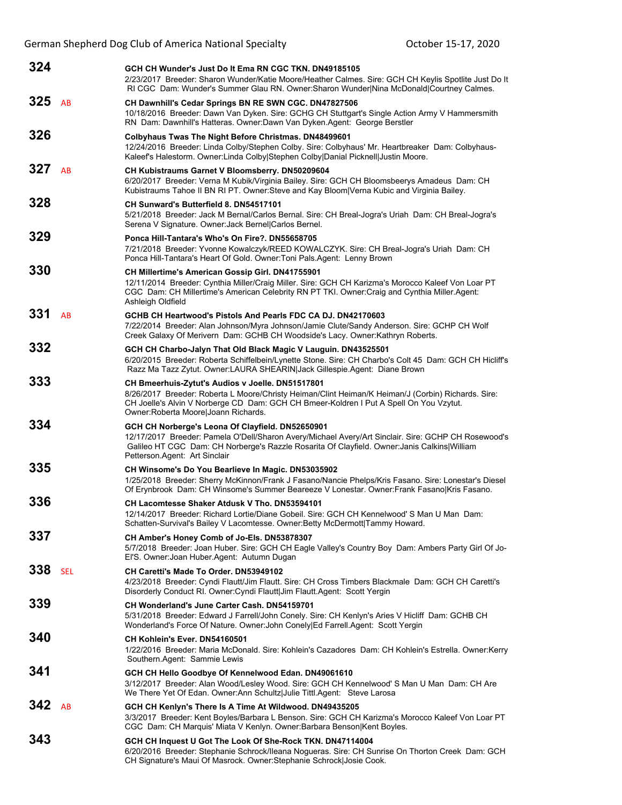German Shepherd Dog Club of America National Specialty **Channel Stepher 15-17, 2020** 

| 324              |           | GCH CH Wunder's Just Do It Ema RN CGC TKN, DN49185105<br>2/23/2017 Breeder: Sharon Wunder/Katie Moore/Heather Calmes. Sire: GCH CH Keylis Spotlite Just Do It<br>RI CGC Dam: Wunder's Summer Glau RN. Owner: Sharon Wunder Nina McDonald Courtney Calmes.                                |
|------------------|-----------|------------------------------------------------------------------------------------------------------------------------------------------------------------------------------------------------------------------------------------------------------------------------------------------|
| 325 Sel 6        |           | CH Dawnhill's Cedar Springs BN RE SWN CGC. DN47827506<br>10/18/2016 Breeder: Dawn Van Dyken. Sire: GCHG CH Stuttgart's Single Action Army V Hammersmith<br>RN Dam: Dawnhill's Hatteras. Owner: Dawn Van Dyken. Agent: George Berstler                                                    |
| 326 Sel 11       |           | Colbyhaus Twas The Night Before Christmas. DN48499601<br>12/24/2016 Breeder: Linda Colby/Stephen Colby. Sire: Colbyhaus' Mr. Heartbreaker Dam: Colbyhaus-<br>Kaleef's Halestorm. Owner:Linda Colby Stephen Colby Danial Picknell Justin Moore.                                           |
| 327 AB           |           | CH Kubistraums Garnet V Bloomsberry. DN50209604<br>6/20/2017 Breeder: Verna M Kubik/Virginia Bailey. Sire: GCH CH Bloomsbeerys Amadeus Dam: CH<br>Kubistraums Tahoe II BN RI PT. Owner: Steve and Kay Bloom   Verna Kubic and Virginia Bailey.                                           |
| 328              |           | CH Sunward's Butterfield 8. DN54517101<br>5/21/2018 Breeder: Jack M Bernal/Carlos Bernal. Sire: CH Breal-Jogra's Uriah Dam: CH Breal-Jogra's<br>Serena V Signature. Owner: Jack Bernel Carlos Bernel.                                                                                    |
| 329              |           | Ponca Hill-Tantara's Who's On Fire?. DN55658705<br>7/21/2018 Breeder: Yvonne Kowalczyk/REED KOWALCZYK. Sire: CH Breal-Jogra's Uriah Dam: CH<br>Ponca Hill-Tantara's Heart Of Gold. Owner: Toni Pals. Agent: Lenny Brown                                                                  |
| 330              |           | <b>CH Millertime's American Gossip Girl. DN41755901</b><br>12/11/2014 Breeder: Cynthia Miller/Craig Miller. Sire: GCH CH Karizma's Morocco Kaleef Von Loar PT<br>CGC Dam: CH Millertime's American Celebrity RN PT TKI. Owner:Craig and Cynthia Miller.Agent:<br>Ashleigh Oldfield       |
| 331              | AB        | GCHB CH Heartwood's Pistols And Pearls FDC CA DJ, DN42170603<br>7/22/2014 Breeder: Alan Johnson/Myra Johnson/Jamie Clute/Sandy Anderson. Sire: GCHP CH Wolf<br>Creek Galaxy Of Merivern Dam: GCHB CH Woodside's Lacy. Owner: Kathryn Roberts.                                            |
| 332              |           | GCH CH Charbo-Jalyn That Old Black Magic V Lauguin. DN43525501<br>6/20/2015 Breeder: Roberta Schiffelbein/Lynette Stone. Sire: CH Charbo's Colt 45 Dam: GCH CH Hicliff's<br>Razz Ma Tazz Zytut. Owner:LAURA SHEARIN Jack Gillespie.Agent: Diane Brown                                    |
| 333              |           | CH Bmeerhuis-Zytut's Audios v Joelle. DN51517801<br>8/26/2017 Breeder: Roberta L Moore/Christy Heiman/Clint Heiman/K Heiman/J (Corbin) Richards. Sire:<br>CH Joelle's Alvin V Norberge CD Dam: GCH CH Bmeer-Koldren I Put A Spell On You Vzytut.<br>Owner:Roberta Moore Joann Richards.  |
| 334              |           | GCH CH Norberge's Leona Of Clayfield. DN52650901<br>12/17/2017 Breeder: Pamela O'Dell/Sharon Avery/Michael Avery/Art Sinclair. Sire: GCHP CH Rosewood's<br>Galileo HT CGC Dam: CH Norberge's Razzle Rosarita Of Clayfield. Owner: Janis Calkins William<br>Petterson Agent: Art Sinclair |
| <b>335</b> Sel 5 |           | CH Winsome's Do You Bearlieve In Magic. DN53035902<br>1/25/2018 Breeder: Sherry McKinnon/Frank J Fasano/Nancie Phelps/Kris Fasano. Sire: Lonestar's Diesel<br>Of Erynbrook Dam: CH Winsome's Summer Beareeze V Lonestar. Owner: Frank Fasano Kris Fasano.                                |
| 336              |           | CH Lacomtesse Shaker Atdusk V Tho. DN53594101<br>12/14/2017 Breeder: Richard Lortie/Diane Gobeil. Sire: GCH CH Kennelwood' S Man U Man Dam:<br>Schatten-Survival's Bailey V Lacomtesse. Owner: Betty McDermott Tammy Howard.                                                             |
| 337 Sel 8        |           | CH Amber's Honey Comb of Jo-Els. DN53878307<br>5/7/2018 Breeder: Joan Huber. Sire: GCH CH Eagle Valley's Country Boy Dam: Ambers Party Girl Of Jo-<br>El'S. Owner: Joan Huber. Agent: Autumn Dugan                                                                                       |
| 338              | SEL Sel 2 | CH Caretti's Made To Order, DN53949102<br>4/23/2018 Breeder: Cyndi Flautt/Jim Flautt. Sire: CH Cross Timbers Blackmale Dam: GCH CH Caretti's<br>Disorderly Conduct RI. Owner: Cyndi Flautt Jim Flautt. Agent: Scott Yergin                                                               |
| 339              |           | CH Wonderland's June Carter Cash, DN54159701<br>5/31/2018 Breeder: Edward J Farrell/John Conely. Sire: CH Kenlyn's Aries V Hicliff Dam: GCHB CH<br>Wonderland's Force Of Nature. Owner: John Conely Ed Farrell.Agent: Scott Yergin                                                       |
| 340              |           | CH Kohlein's Ever. DN54160501<br>1/22/2016 Breeder: Maria McDonald. Sire: Kohlein's Cazadores Dam: CH Kohlein's Estrella. Owner:Kerry<br>Southern.Agent: Sammie Lewis                                                                                                                    |
| 341              |           | GCH CH Hello Goodbye Of Kennelwood Edan. DN49061610<br>3/12/2017 Breeder: Alan Wood/Lesley Wood. Sire: GCH CH Kennelwood' S Man U Man Dam: CH Are<br>We There Yet Of Edan. Owner: Ann Schultz Julie Tittl. Agent: Steve Larosa                                                           |
| 342              | AB        | GCH CH Kenlyn's There Is A Time At Wildwood. DN49435205<br>3/3/2017 Breeder: Kent Boyles/Barbara L Benson. Sire: GCH CH Karizma's Morocco Kaleef Von Loar PT<br>CGC Dam: CH Marquis' Miata V Kenlyn. Owner: Barbara Benson Kent Boyles.                                                  |
| 343              |           | GCH CH Inquest U Got The Look Of She-Rock TKN. DN47114004<br>6/20/2016 Breeder: Stephanie Schrock/Ileana Nogueras. Sire: CH Sunrise On Thorton Creek Dam: GCH<br>CH Signature's Maui Of Masrock. Owner: Stephanie Schrock Josie Cook.                                                    |